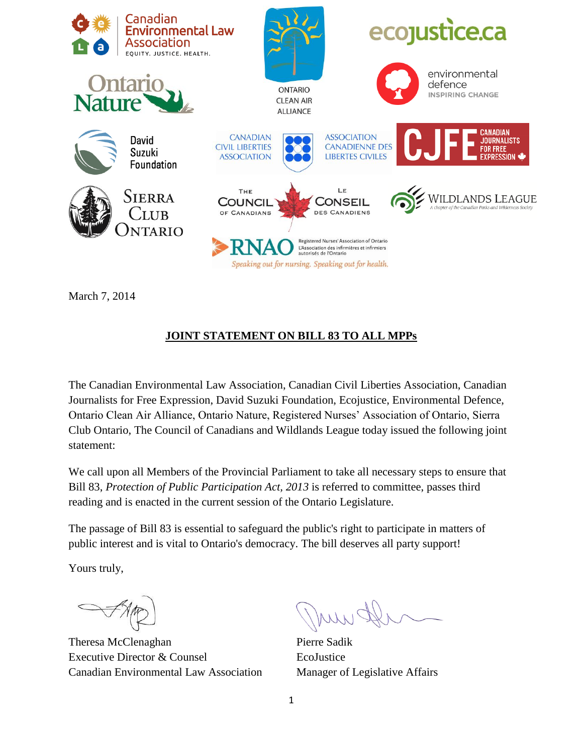

March 7, 2014

## **JOINT STATEMENT ON BILL 83 TO ALL MPPs**

The Canadian Environmental Law Association, Canadian Civil Liberties Association, Canadian Journalists for Free Expression, David Suzuki Foundation, Ecojustice, Environmental Defence, Ontario Clean Air Alliance, Ontario Nature, Registered Nurses' Association of Ontario, Sierra Club Ontario, The Council of Canadians and Wildlands League today issued the following joint statement:

We call upon all Members of the Provincial Parliament to take all necessary steps to ensure that Bill 83, *Protection of Public Participation Act, 2013* is referred to committee, passes third reading and is enacted in the current session of the Ontario Legislature.

The passage of Bill 83 is essential to safeguard the public's right to participate in matters of public interest and is vital to Ontario's democracy. The bill deserves all party support!

Yours truly,

Theresa McClenaghan Executive Director & Counsel Canadian Environmental Law Association

Pierre Sadik EcoJustice Manager of Legislative Affairs